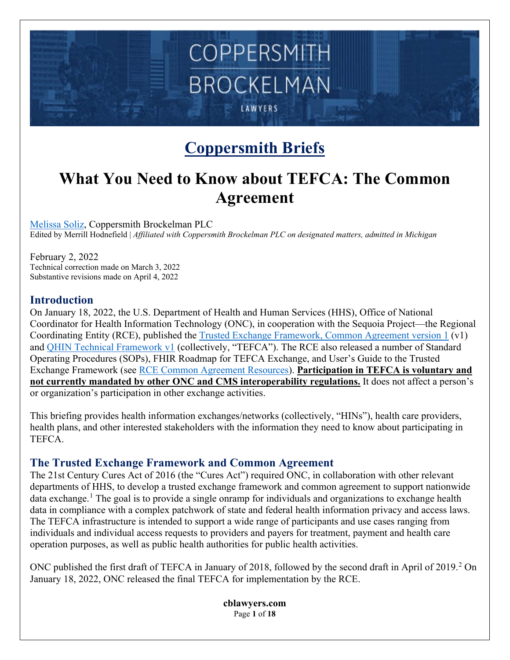### **Coppersmith Briefs**

### **What You Need to Know about TEFCA: The Common Agreement**

[Melissa Soliz,](mailto:msoliz@cblawyers.com) Coppersmith Brockelman PLC Edited by Merrill Hodnefield | *Affiliated with Coppersmith Brockelman PLC on designated matters, admitted in Michigan*

February 2, 2022 Technical correction made on March 3, 2022 Substantive revisions made on April 4, 2022

### **Introduction**

On January 18, 2022, the U.S. Department of Health and Human Services (HHS), Office of National Coordinator for Health Information Technology (ONC), in cooperation with the Sequoia Project—the Regional Coordinating Entity (RCE), published the [Trusted Exchange Framework, Common Agreement version 1](https://rce.sequoiaproject.org/wp-content/uploads/2022/01/Common-Agreement-for-Nationwide-Health-Information-Interoperability-Version-1.pdf) (v1) and OHIN Technical Framework v1 (collectively, "TEFCA"). The RCE also released a number of Standard Operating Procedures (SOPs), FHIR Roadmap for TEFCA Exchange, and User's Guide to the Trusted Exchange Framework (see [RCE Common Agreement Resources\)](https://rce.sequoiaproject.org/tefca-and-rce-resources/). **Participation in TEFCA is voluntary and not currently mandated by other ONC and CMS interoperability regulations.** It does not affect a person's or organization's participation in other exchange activities.

This briefing provides health information exchanges/networks (collectively, "HINs"), health care providers, health plans, and other interested stakeholders with the information they need to know about participating in TEFCA.

### **The Trusted Exchange Framework and Common Agreement**

The 21st Century Cures Act of 2016 (the "Cures Act") required ONC, in collaboration with other relevant departments of HHS, to develop a trusted exchange framework and common agreement to support nationwide data exchange.<sup>[1](#page-16-0)</sup> The goal is to provide a single onramp for individuals and organizations to exchange health data in compliance with a complex patchwork of state and federal health information privacy and access laws. The TEFCA infrastructure is intended to support a wide range of participants and use cases ranging from individuals and individual access requests to providers and payers for treatment, payment and health care operation purposes, as well as public health authorities for public health activities.

ONC published the first draft of TEFCA in January of [2](#page-16-1)018, followed by the second draft in April of 2019.<sup>2</sup> On January 18, 2022, ONC released the final TEFCA for implementation by the RCE.

> **cblawyers.com** Page **1** of **18**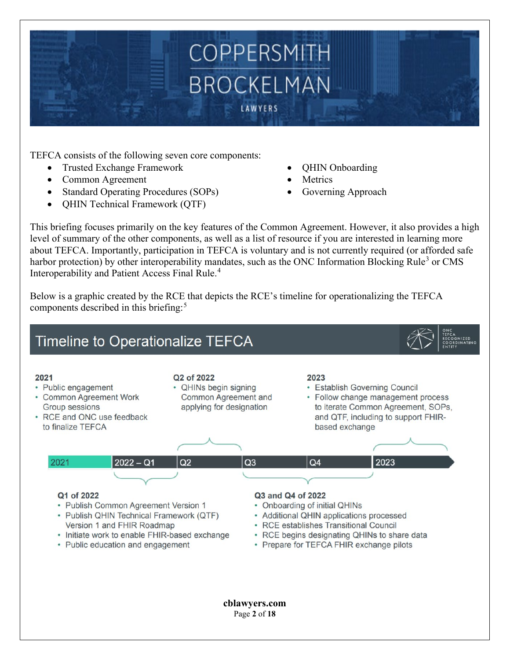

TEFCA consists of the following seven core components:

- Trusted Exchange Framework
- Common Agreement
- Standard Operating Procedures (SOPs)
- QHIN Technical Framework (QTF)
- QHIN Onboarding
- **Metrics**
- Governing Approach

This briefing focuses primarily on the key features of the Common Agreement. However, it also provides a high level of summary of the other components, as well as a list of resource if you are interested in learning more about TEFCA. Importantly, participation in TEFCA is voluntary and is not currently required (or afforded safe harbor protection) by other interoperability mandates, such as the ONC Information Blocking Rule<sup>[3](#page-16-2)</sup> or CMS Interoperability and Patient Access Final Rule.<sup>[4](#page-16-3)</sup>

Below is a graphic created by the RCE that depicts the RCE's timeline for operationalizing the TEFCA components described in this briefing:<sup>[5](#page-16-4)</sup>



**cblawyers.com** Page **2** of **18**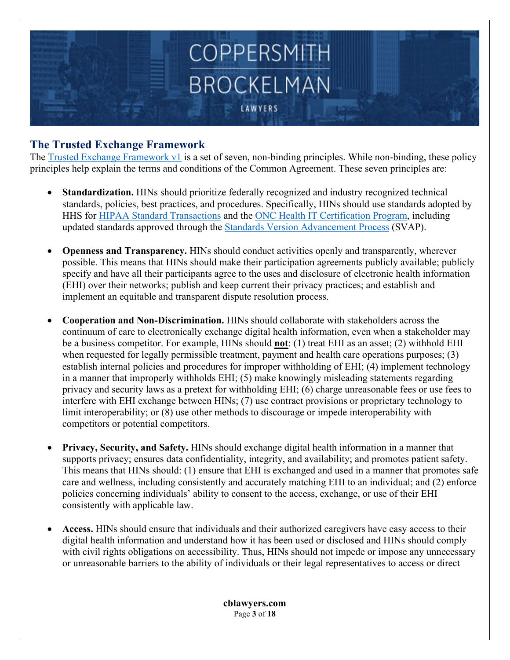

### **The Trusted Exchange Framework**

The [Trusted Exchange Framework v1](https://www.healthit.gov/sites/default/files/page/2022-01/Trusted_Exchange_Framework_0122.pdf) is a set of seven, non-binding principles. While non-binding, these policy principles help explain the terms and conditions of the Common Agreement. These seven principles are:

- **Standardization.** HINs should prioritize federally recognized and industry recognized technical standards, policies, best practices, and procedures. Specifically, HINs should use standards adopted by HHS for [HIPAA Standard Transactions](https://www.ecfr.gov/current/title-45/subtitle-A/subchapter-C/part-162) and the [ONC Health IT Certification Program,](https://www.ecfr.gov/current/title-45/subtitle-A/subchapter-D/part-170?toc=1) including updated standards approved through the [Standards Version Advancement Process](https://www.healthit.gov/isa/standards-version-advancement-process) (SVAP).
- **Openness and Transparency.** HINs should conduct activities openly and transparently, wherever possible. This means that HINs should make their participation agreements publicly available; publicly specify and have all their participants agree to the uses and disclosure of electronic health information (EHI) over their networks; publish and keep current their privacy practices; and establish and implement an equitable and transparent dispute resolution process.
- **Cooperation and Non-Discrimination.** HINs should collaborate with stakeholders across the continuum of care to electronically exchange digital health information, even when a stakeholder may be a business competitor. For example, HINs should **not**: (1) treat EHI as an asset; (2) withhold EHI when requested for legally permissible treatment, payment and health care operations purposes; (3) establish internal policies and procedures for improper withholding of EHI; (4) implement technology in a manner that improperly withholds EHI; (5) make knowingly misleading statements regarding privacy and security laws as a pretext for withholding EHI; (6) charge unreasonable fees or use fees to interfere with EHI exchange between HINs; (7) use contract provisions or proprietary technology to limit interoperability; or (8) use other methods to discourage or impede interoperability with competitors or potential competitors.
- **Privacy, Security, and Safety.** HINs should exchange digital health information in a manner that supports privacy; ensures data confidentiality, integrity, and availability; and promotes patient safety. This means that HINs should: (1) ensure that EHI is exchanged and used in a manner that promotes safe care and wellness, including consistently and accurately matching EHI to an individual; and (2) enforce policies concerning individuals' ability to consent to the access, exchange, or use of their EHI consistently with applicable law.
- **Access.** HINs should ensure that individuals and their authorized caregivers have easy access to their digital health information and understand how it has been used or disclosed and HINs should comply with civil rights obligations on accessibility. Thus, HINs should not impede or impose any unnecessary or unreasonable barriers to the ability of individuals or their legal representatives to access or direct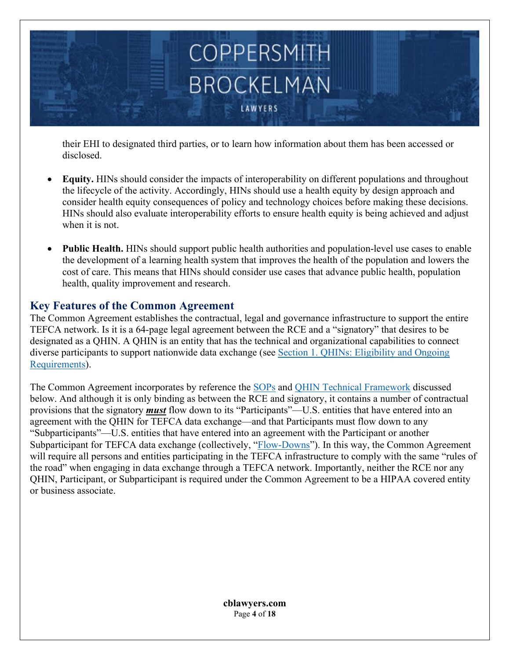their EHI to designated third parties, or to learn how information about them has been accessed or disclosed.

- **Equity.** HINs should consider the impacts of interoperability on different populations and throughout the lifecycle of the activity. Accordingly, HINs should use a health equity by design approach and consider health equity consequences of policy and technology choices before making these decisions. HINs should also evaluate interoperability efforts to ensure health equity is being achieved and adjust when it is not.
- **Public Health.** HINs should support public health authorities and population-level use cases to enable the development of a learning health system that improves the health of the population and lowers the cost of care. This means that HINs should consider use cases that advance public health, population health, quality improvement and research.

### **Key Features of the Common Agreement**

The Common Agreement establishes the contractual, legal and governance infrastructure to support the entire TEFCA network. Is it is a 64-page legal agreement between the RCE and a "signatory" that desires to be designated as a QHIN. A QHIN is an entity that has the technical and organizational capabilities to connect diverse participants to support nationwide data exchange (see Section 1. QHINs: Eligibility and Ongoing [Requirements\)](#page-5-0).

The Common Agreement incorporates by reference the [SOPs](#page-14-0) and [QHIN Technical Framework](#page-14-1) discussed below. And although it is only binding as between the RCE and signatory, it contains a number of contractual provisions that the signatory *must* flow down to its "Participants"—U.S. entities that have entered into an agreement with the QHIN for TEFCA data exchange—and that Participants must flow down to any "Subparticipants"—U.S. entities that have entered into an agreement with the Participant or another Subparticipant for TEFCA data exchange (collectively, ["Flow-Downs"](#page-7-0)). In this way, the Common Agreement will require all persons and entities participating in the TEFCA infrastructure to comply with the same "rules of the road" when engaging in data exchange through a TEFCA network. Importantly, neither the RCE nor any QHIN, Participant, or Subparticipant is required under the Common Agreement to be a HIPAA covered entity or business associate.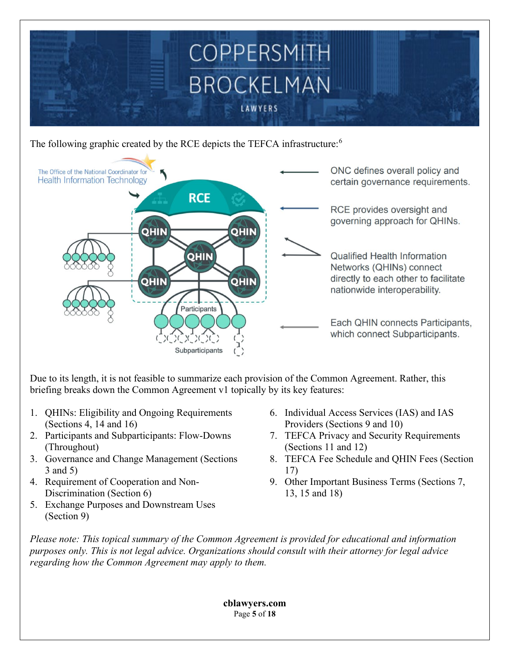

The following graphic created by the RCE depicts the TEFCA infrastructure:<sup>[6](#page-16-5)</sup>



Due to its length, it is not feasible to summarize each provision of the Common Agreement. Rather, this briefing breaks down the Common Agreement v1 topically by its key features:

- 1. [QHINs: Eligibility and Ongoing Requirements](#page-5-0)  (Sections [4, 14 and 16\)](#page-5-0)
- 2. [Participants and Subparticipants: Flow-Downs](#page-7-0)  [\(Throughout\)](#page-7-0)
- 3. [Governance and Change Management \(Sections](#page-8-0)  [3 and 5\)](#page-8-0)
- 4. [Requirement of Cooperation and Non-](#page-9-0)[Discrimination \(Section 6\)](#page-9-0)
- 5. [Exchange Purposes and Downstream Uses](#page-10-0)  [\(Section 9\)](#page-10-0)
- 6. [Individual Access Services \(IAS\) and IAS](#page-11-0)  [Providers \(Sections 9 and 10\)](#page-11-0)
- 7. [TEFCA Privacy and Security Requirements](#page-12-0)  [\(Sections 11 and 12\)](#page-12-0)
- 8. [TEFCA Fee Schedule and QHIN Fees \(Section](#page-13-0)  [17\)](#page-13-0)
- 9. [Other Important Business Terms \(Sections 7,](#page-13-1)  [13, 15 and 18\)](#page-13-1)

*Please note: This topical summary of the Common Agreement is provided for educational and information purposes only. This is not legal advice. Organizations should consult with their attorney for legal advice regarding how the Common Agreement may apply to them.*

> **cblawyers.com** Page **5** of **18**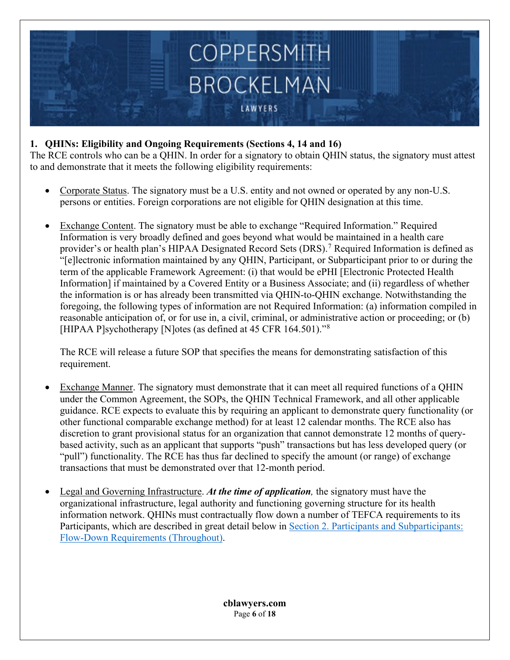

### <span id="page-5-0"></span>**1. QHINs: Eligibility and Ongoing Requirements (Sections 4, 14 and 16)**

The RCE controls who can be a QHIN. In order for a signatory to obtain QHIN status, the signatory must attest to and demonstrate that it meets the following eligibility requirements:

- Corporate Status. The signatory must be a U.S. entity and not owned or operated by any non-U.S. persons or entities. Foreign corporations are not eligible for QHIN designation at this time.
- Exchange Content. The signatory must be able to exchange "Required Information." Required Information is very broadly defined and goes beyond what would be maintained in a health care provider's or health plan's HIPAA Designated Record Sets (DRS).<sup>[7](#page-16-6)</sup> Required Information is defined as "[e]lectronic information maintained by any QHIN, Participant, or Subparticipant prior to or during the term of the applicable Framework Agreement: (i) that would be ePHI [Electronic Protected Health Information] if maintained by a Covered Entity or a Business Associate; and (ii) regardless of whether the information is or has already been transmitted via QHIN-to-QHIN exchange. Notwithstanding the foregoing, the following types of information are not Required Information: (a) information compiled in reasonable anticipation of, or for use in, a civil, criminal, or administrative action or proceeding; or (b) [HIPAA P]sychotherapy [N]otes (as defined at 45 CFR 164.501)."[8](#page-16-7)

The RCE will release a future SOP that specifies the means for demonstrating satisfaction of this requirement.

- Exchange Manner. The signatory must demonstrate that it can meet all required functions of a QHIN under the Common Agreement, the SOPs, the QHIN Technical Framework, and all other applicable guidance. RCE expects to evaluate this by requiring an applicant to demonstrate query functionality (or other functional comparable exchange method) for at least 12 calendar months. The RCE also has discretion to grant provisional status for an organization that cannot demonstrate 12 months of querybased activity, such as an applicant that supports "push" transactions but has less developed query (or "pull") functionality. The RCE has thus far declined to specify the amount (or range) of exchange transactions that must be demonstrated over that 12-month period.
- Legal and Governing Infrastructure. *At the time of application,* the signatory must have the organizational infrastructure, legal authority and functioning governing structure for its health information network. QHINs must contractually flow down a number of TEFCA requirements to its Participants, which are described in great detail below in [Section 2. Participants and Subparticipants:](#page-7-0)  [Flow-Down Requirements](#page-7-0) (Throughout).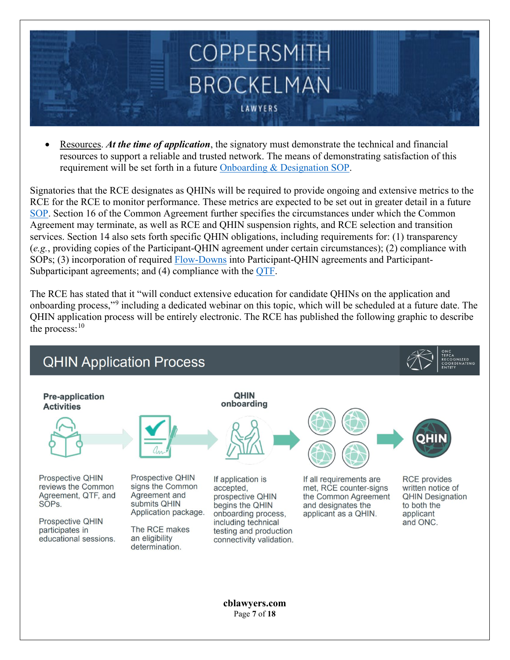

• Resources. *At the time of application*, the signatory must demonstrate the technical and financial resources to support a reliable and trusted network. The means of demonstrating satisfaction of this requirement will be set forth in a future [Onboarding & Designation SOP.](#page-14-0)

Signatories that the RCE designates as QHINs will be required to provide ongoing and extensive metrics to the RCE for the RCE to monitor performance. These metrics are expected to be set out in greater detail in a future [SOP.](#page-14-0) Section 16 of the Common Agreement further specifies the circumstances under which the Common Agreement may terminate, as well as RCE and QHIN suspension rights, and RCE selection and transition services. Section 14 also sets forth specific QHIN obligations, including requirements for: (1) transparency (*e.g.*, providing copies of the Participant-QHIN agreement under certain circumstances); (2) compliance with SOPs; (3) incorporation of required [Flow-Downs](#page-7-0) into Participant-QHIN agreements and Participant-Subparticipant agreements; and (4) compliance with the [QTF.](#page-14-1)

The RCE has stated that it "will conduct extensive education for candidate QHINs on the application and onboarding process,"<sup>[9](#page-16-8)</sup> including a dedicated webinar on this topic, which will be scheduled at a future date. The QHIN application process will be entirely electronic. The RCE has published the following graphic to describe the process:<sup>[10](#page-16-9)</sup>



**cblawyers.com**  Page **7** of **18**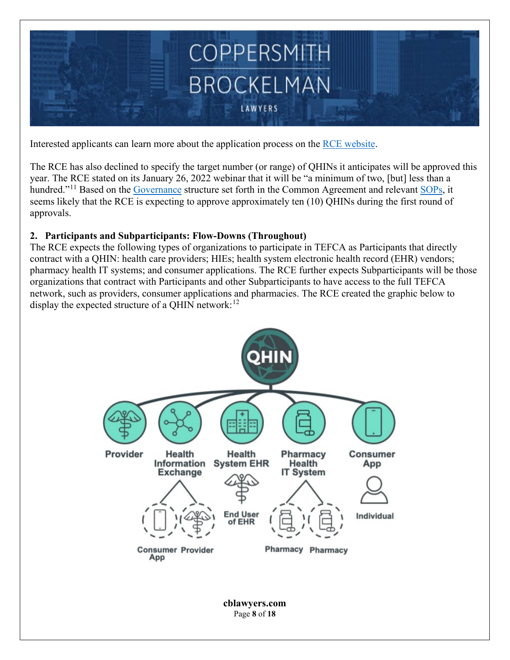

Interested applicants can learn more about the application process on the [RCE website.](https://rce.sequoiaproject.org/rce/)

The RCE has also declined to specify the target number (or range) of QHINs it anticipates will be approved this year. The RCE stated on its January 26, 2022 webinar that it will be "a minimum of two, [but] less than a hundred."<sup>[11](#page-16-10)</sup> Based on the [Governance](#page-8-0) structure set forth in the Common Agreement and relevant [SOPs,](#page-14-0) it seems likely that the RCE is expecting to approve approximately ten (10) QHINs during the first round of approvals.

### <span id="page-7-0"></span>**2. Participants and Subparticipants: Flow-Downs (Throughout)**

The RCE expects the following types of organizations to participate in TEFCA as Participants that directly contract with a QHIN: health care providers; HIEs; health system electronic health record (EHR) vendors; pharmacy health IT systems; and consumer applications. The RCE further expects Subparticipants will be those organizations that contract with Participants and other Subparticipants to have access to the full TEFCA network, such as providers, consumer applications and pharmacies. The RCE created the graphic below to display the expected structure of a QHIN network: $^{12}$  $^{12}$  $^{12}$ 



Page **8** of **18**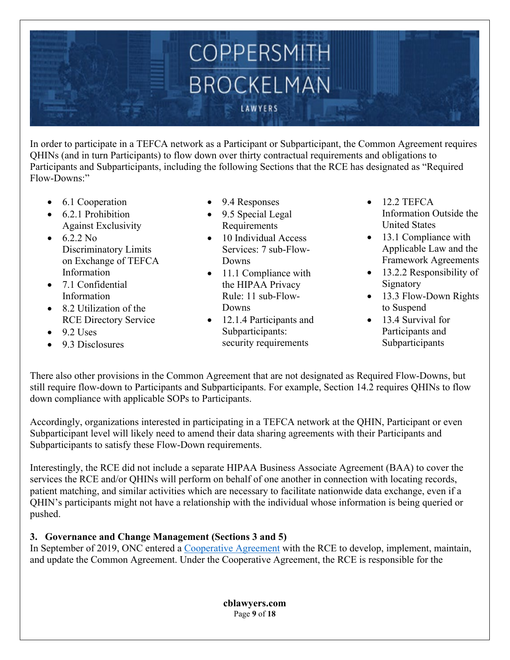

In order to participate in a TEFCA network as a Participant or Subparticipant, the Common Agreement requires QHINs (and in turn Participants) to flow down over thirty contractual requirements and obligations to Participants and Subparticipants, including the following Sections that the RCE has designated as "Required Flow-Downs:"

- 6.1 Cooperation
- 6.2.1 Prohibition Against Exclusivity
- $6.2.2$  No Discriminatory Limits on Exchange of TEFCA Information
- 7.1 Confidential Information
- 8.2 Utilization of the RCE Directory Service
- $\bullet$  9.2 Uses
- 9.3 Disclosures
- 9.4 Responses
- 9.5 Special Legal Requirements
- 10 Individual Access Services: 7 sub-Flow-Downs
- 11.1 Compliance with the HIPAA Privacy Rule: 11 sub-Flow-Downs
- 12.1.4 Participants and Subparticipants: security requirements
- $\bullet$  12.2 TEFCA Information Outside the United States
- 13.1 Compliance with Applicable Law and the Framework Agreements
- 13.2.2 Responsibility of Signatory
- 13.3 Flow-Down Rights to Suspend
- 13.4 Survival for Participants and Subparticipants

There also other provisions in the Common Agreement that are not designated as Required Flow-Downs, but still require flow-down to Participants and Subparticipants. For example, Section 14.2 requires QHINs to flow down compliance with applicable SOPs to Participants.

Accordingly, organizations interested in participating in a TEFCA network at the QHIN, Participant or even Subparticipant level will likely need to amend their data sharing agreements with their Participants and Subparticipants to satisfy these Flow-Down requirements.

Interestingly, the RCE did not include a separate HIPAA Business Associate Agreement (BAA) to cover the services the RCE and/or QHINs will perform on behalf of one another in connection with locating records, patient matching, and similar activities which are necessary to facilitate nationwide data exchange, even if a QHIN's participants might not have a relationship with the individual whose information is being queried or pushed.

### <span id="page-8-0"></span>**3. Governance and Change Management (Sections 3 and 5)**

In September of 2019, ONC entered a [Cooperative Agreement](https://public3.pagefreezer.com/browse/HHS.gov/31-12-2020T08:51/https:/www.hhs.gov/about/news/2019/09/03/onc-awards-the-sequoia-project-cooperative-agreement.html) with the RCE to develop, implement, maintain, and update the Common Agreement. Under the Cooperative Agreement, the RCE is responsible for the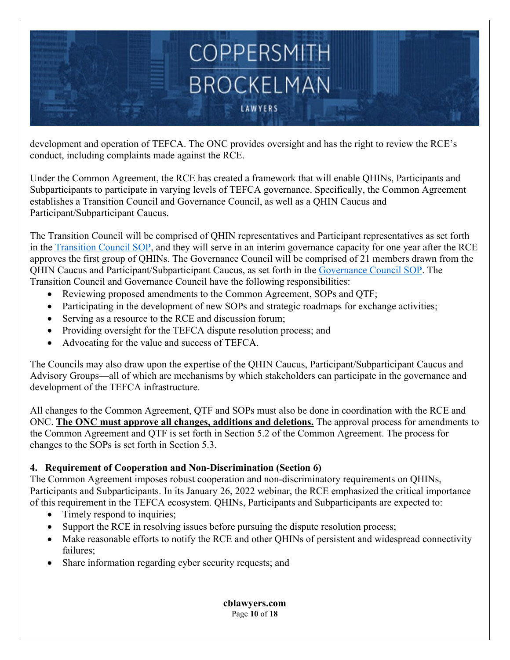

development and operation of TEFCA. The ONC provides oversight and has the right to review the RCE's conduct, including complaints made against the RCE.

Under the Common Agreement, the RCE has created a framework that will enable QHINs, Participants and Subparticipants to participate in varying levels of TEFCA governance. Specifically, the Common Agreement establishes a Transition Council and Governance Council, as well as a QHIN Caucus and Participant/Subparticipant Caucus.

The Transition Council will be comprised of QHIN representatives and Participant representatives as set forth in the [Transition Council SOP,](https://rce.sequoiaproject.org/wp-content/uploads/2022/01/SOP-Transitional-Council-FINAL.pdf) and they will serve in an interim governance capacity for one year after the RCE approves the first group of QHINs. The Governance Council will be comprised of 21 members drawn from the QHIN Caucus and Participant/Subparticipant Caucus, as set forth in the [Governance Council SOP.](https://rce.sequoiaproject.org/wp-content/uploads/2022/01/SOP-Governing-Council-FINAL.pdf) The Transition Council and Governance Council have the following responsibilities:

- Reviewing proposed amendments to the Common Agreement, SOPs and QTF;
- Participating in the development of new SOPs and strategic roadmaps for exchange activities;
- Serving as a resource to the RCE and discussion forum;
- Providing oversight for the TEFCA dispute resolution process; and
- Advocating for the value and success of TEFCA.

The Councils may also draw upon the expertise of the QHIN Caucus, Participant/Subparticipant Caucus and Advisory Groups—all of which are mechanisms by which stakeholders can participate in the governance and development of the TEFCA infrastructure.

All changes to the Common Agreement, QTF and SOPs must also be done in coordination with the RCE and ONC. **The ONC must approve all changes, additions and deletions.** The approval process for amendments to the Common Agreement and QTF is set forth in Section 5.2 of the Common Agreement. The process for changes to the SOPs is set forth in Section 5.3.

### <span id="page-9-0"></span>**4. Requirement of Cooperation and Non-Discrimination (Section 6)**

The Common Agreement imposes robust cooperation and non-discriminatory requirements on QHINs, Participants and Subparticipants. In its January 26, 2022 webinar, the RCE emphasized the critical importance of this requirement in the TEFCA ecosystem. QHINs, Participants and Subparticipants are expected to:

- Timely respond to inquiries;
- Support the RCE in resolving issues before pursuing the dispute resolution process;
- Make reasonable efforts to notify the RCE and other QHINs of persistent and widespread connectivity failures;
- Share information regarding cyber security requests; and

**cblawyers.com** Page **10** of **18**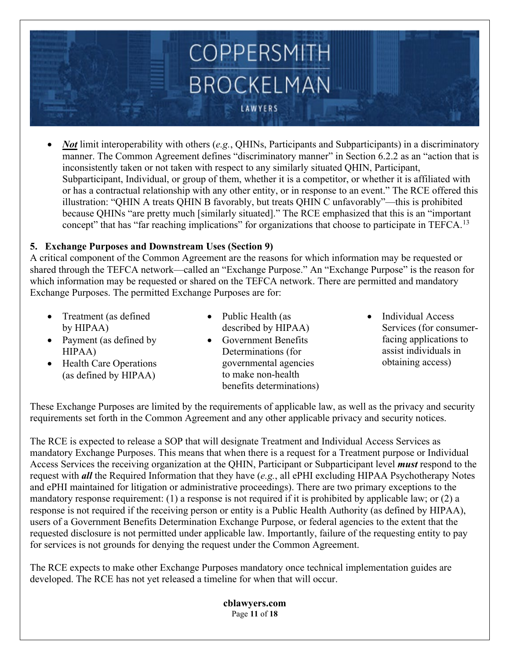

• *Not* limit interoperability with others (*e.g.*, QHINs, Participants and Subparticipants) in a discriminatory manner. The Common Agreement defines "discriminatory manner" in Section 6.2.2 as an "action that is inconsistently taken or not taken with respect to any similarly situated QHIN, Participant, Subparticipant, Individual, or group of them, whether it is a competitor, or whether it is affiliated with or has a contractual relationship with any other entity, or in response to an event." The RCE offered this illustration: "QHIN A treats QHIN B favorably, but treats QHIN C unfavorably"—this is prohibited because QHINs "are pretty much [similarly situated]." The RCE emphasized that this is an "important concept" that has "far reaching implications" for organizations that choose to participate in TEFCA.<sup>[13](#page-16-12)</sup>

#### <span id="page-10-0"></span>**5. Exchange Purposes and Downstream Uses (Section 9)**

A critical component of the Common Agreement are the reasons for which information may be requested or shared through the TEFCA network—called an "Exchange Purpose." An "Exchange Purpose" is the reason for which information may be requested or shared on the TEFCA network. There are permitted and mandatory Exchange Purposes. The permitted Exchange Purposes are for:

- Treatment (as defined by HIPAA)
- Payment (as defined by HIPAA)
- Health Care Operations (as defined by HIPAA)
- Public Health (as described by HIPAA) • Government Benefits
- Determinations (for governmental agencies to make non-health benefits determinations)
- Individual Access Services (for consumerfacing applications to assist individuals in obtaining access)

These Exchange Purposes are limited by the requirements of applicable law, as well as the privacy and security requirements set forth in the Common Agreement and any other applicable privacy and security notices.

The RCE is expected to release a SOP that will designate Treatment and Individual Access Services as mandatory Exchange Purposes. This means that when there is a request for a Treatment purpose or Individual Access Services the receiving organization at the QHIN, Participant or Subparticipant level *must* respond to the request with *all* the Required Information that they have (*e.g.*, all ePHI excluding HIPAA Psychotherapy Notes and ePHI maintained for litigation or administrative proceedings). There are two primary exceptions to the mandatory response requirement: (1) a response is not required if it is prohibited by applicable law; or (2) a response is not required if the receiving person or entity is a Public Health Authority (as defined by HIPAA), users of a Government Benefits Determination Exchange Purpose, or federal agencies to the extent that the requested disclosure is not permitted under applicable law. Importantly, failure of the requesting entity to pay for services is not grounds for denying the request under the Common Agreement.

The RCE expects to make other Exchange Purposes mandatory once technical implementation guides are developed. The RCE has not yet released a timeline for when that will occur.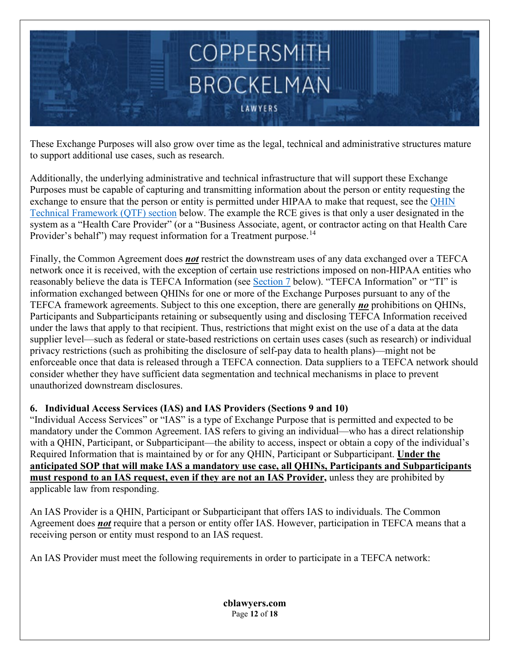

These Exchange Purposes will also grow over time as the legal, technical and administrative structures mature to support additional use cases, such as research.

Additionally, the underlying administrative and technical infrastructure that will support these Exchange Purposes must be capable of capturing and transmitting information about the person or entity requesting the exchange to ensure that the person or entity is permitted under HIPAA to make that request, see the QHIN [Technical Framework \(QTF\) section](#page-14-1) below. The example the RCE gives is that only a user designated in the system as a "Health Care Provider" (or a "Business Associate, agent, or contractor acting on that Health Care Provider's behalf") may request information for a Treatment purpose.<sup>[14](#page-16-13)</sup>

Finally, the Common Agreement does *not* restrict the downstream uses of any data exchanged over a TEFCA network once it is received, with the exception of certain use restrictions imposed on non-HIPAA entities who reasonably believe the data is TEFCA Information (see [Section 7](#page-12-0) below). "TEFCA Information" or "TI" is information exchanged between QHINs for one or more of the Exchange Purposes pursuant to any of the TEFCA framework agreements. Subject to this one exception, there are generally *no* prohibitions on QHINs, Participants and Subparticipants retaining or subsequently using and disclosing TEFCA Information received under the laws that apply to that recipient. Thus, restrictions that might exist on the use of a data at the data supplier level—such as federal or state-based restrictions on certain uses cases (such as research) or individual privacy restrictions (such as prohibiting the disclosure of self-pay data to health plans)—might not be enforceable once that data is released through a TEFCA connection. Data suppliers to a TEFCA network should consider whether they have sufficient data segmentation and technical mechanisms in place to prevent unauthorized downstream disclosures.

#### <span id="page-11-0"></span>**6. Individual Access Services (IAS) and IAS Providers (Sections 9 and 10)**

"Individual Access Services" or "IAS" is a type of Exchange Purpose that is permitted and expected to be mandatory under the Common Agreement. IAS refers to giving an individual—who has a direct relationship with a QHIN, Participant, or Subparticipant—the ability to access, inspect or obtain a copy of the individual's Required Information that is maintained by or for any QHIN, Participant or Subparticipant. **Under the anticipated SOP that will make IAS a mandatory use case, all QHINs, Participants and Subparticipants must respond to an IAS request, even if they are not an IAS Provider,** unless they are prohibited by applicable law from responding.

An IAS Provider is a QHIN, Participant or Subparticipant that offers IAS to individuals. The Common Agreement does *not* require that a person or entity offer IAS. However, participation in TEFCA means that a receiving person or entity must respond to an IAS request.

An IAS Provider must meet the following requirements in order to participate in a TEFCA network: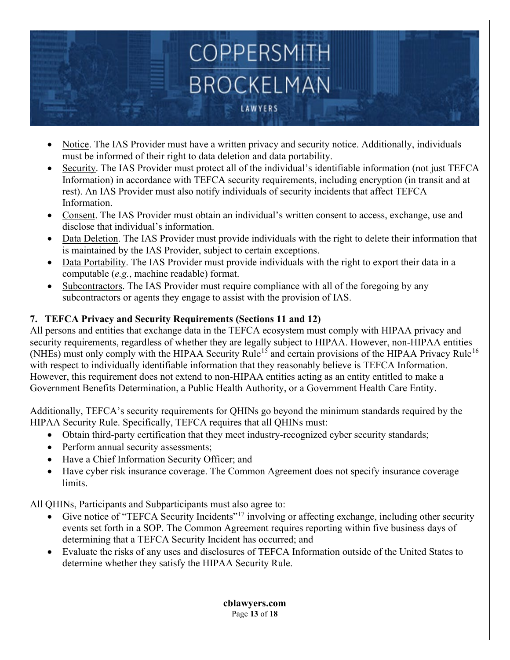- Notice. The IAS Provider must have a written privacy and security notice. Additionally, individuals must be informed of their right to data deletion and data portability.
- Security. The IAS Provider must protect all of the individual's identifiable information (not just TEFCA Information) in accordance with TEFCA security requirements, including encryption (in transit and at rest). An IAS Provider must also notify individuals of security incidents that affect TEFCA Information.
- Consent. The IAS Provider must obtain an individual's written consent to access, exchange, use and disclose that individual's information.
- Data Deletion. The IAS Provider must provide individuals with the right to delete their information that is maintained by the IAS Provider, subject to certain exceptions.
- Data Portability. The IAS Provider must provide individuals with the right to export their data in a computable (*e.g.*, machine readable) format.
- Subcontractors. The IAS Provider must require compliance with all of the foregoing by any subcontractors or agents they engage to assist with the provision of IAS.

### <span id="page-12-0"></span>**7. TEFCA Privacy and Security Requirements (Sections 11 and 12)**

All persons and entities that exchange data in the TEFCA ecosystem must comply with HIPAA privacy and security requirements, regardless of whether they are legally subject to HIPAA. However, non-HIPAA entities (NHEs) must only comply with the HIPAA Security Rule<sup>[15](#page-16-14)</sup> and certain provisions of the HIPAA Privacy Rule<sup>[16](#page-16-15)</sup> with respect to individually identifiable information that they reasonably believe is TEFCA Information. However, this requirement does not extend to non-HIPAA entities acting as an entity entitled to make a Government Benefits Determination, a Public Health Authority, or a Government Health Care Entity.

Additionally, TEFCA's security requirements for QHINs go beyond the minimum standards required by the HIPAA Security Rule. Specifically, TEFCA requires that all QHINs must:

- Obtain third-party certification that they meet industry-recognized cyber security standards;
- Perform annual security assessments;
- Have a Chief Information Security Officer; and
- Have cyber risk insurance coverage. The Common Agreement does not specify insurance coverage limits.

All QHINs, Participants and Subparticipants must also agree to:

- Give notice of "TEFCA Security Incidents"<sup>[17](#page-17-0)</sup> involving or affecting exchange, including other security events set forth in a SOP. The Common Agreement requires reporting within five business days of determining that a TEFCA Security Incident has occurred; and
- Evaluate the risks of any uses and disclosures of TEFCA Information outside of the United States to determine whether they satisfy the HIPAA Security Rule.

**cblawyers.com** Page **13** of **18**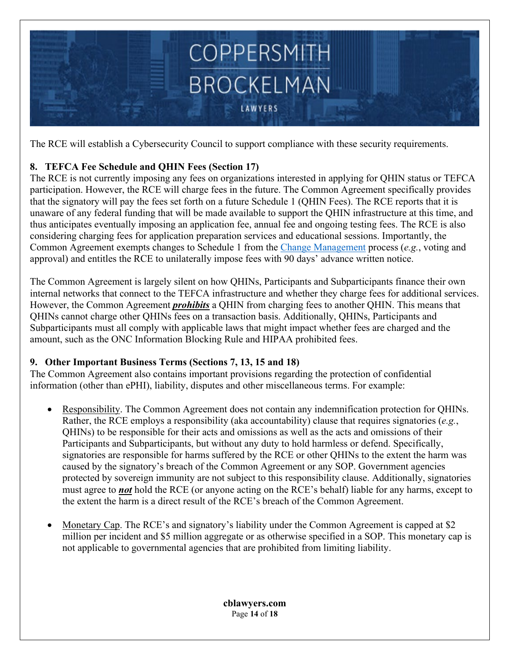

The RCE will establish a Cybersecurity Council to support compliance with these security requirements.

### <span id="page-13-0"></span>**8. TEFCA Fee Schedule and QHIN Fees (Section 17)**

The RCE is not currently imposing any fees on organizations interested in applying for QHIN status or TEFCA participation. However, the RCE will charge fees in the future. The Common Agreement specifically provides that the signatory will pay the fees set forth on a future Schedule 1 (QHIN Fees). The RCE reports that it is unaware of any federal funding that will be made available to support the QHIN infrastructure at this time, and thus anticipates eventually imposing an application fee, annual fee and ongoing testing fees. The RCE is also considering charging fees for application preparation services and educational sessions. Importantly, the Common Agreement exempts changes to Schedule 1 from the [Change Management](#page-8-0) process (*e.g.*, voting and approval) and entitles the RCE to unilaterally impose fees with 90 days' advance written notice.

The Common Agreement is largely silent on how QHINs, Participants and Subparticipants finance their own internal networks that connect to the TEFCA infrastructure and whether they charge fees for additional services. However, the Common Agreement *prohibits* a QHIN from charging fees to another QHIN. This means that QHINs cannot charge other QHINs fees on a transaction basis. Additionally, QHINs, Participants and Subparticipants must all comply with applicable laws that might impact whether fees are charged and the amount, such as the ONC Information Blocking Rule and HIPAA prohibited fees.

### <span id="page-13-1"></span>**9. Other Important Business Terms (Sections 7, 13, 15 and 18)**

The Common Agreement also contains important provisions regarding the protection of confidential information (other than ePHI), liability, disputes and other miscellaneous terms. For example:

- Responsibility. The Common Agreement does not contain any indemnification protection for QHINs. Rather, the RCE employs a responsibility (aka accountability) clause that requires signatories (*e.g.*, QHINs) to be responsible for their acts and omissions as well as the acts and omissions of their Participants and Subparticipants, but without any duty to hold harmless or defend. Specifically, signatories are responsible for harms suffered by the RCE or other QHINs to the extent the harm was caused by the signatory's breach of the Common Agreement or any SOP. Government agencies protected by sovereign immunity are not subject to this responsibility clause. Additionally, signatories must agree to *not* hold the RCE (or anyone acting on the RCE's behalf) liable for any harms, except to the extent the harm is a direct result of the RCE's breach of the Common Agreement.
- Monetary Cap. The RCE's and signatory's liability under the Common Agreement is capped at \$2 million per incident and \$5 million aggregate or as otherwise specified in a SOP. This monetary cap is not applicable to governmental agencies that are prohibited from limiting liability.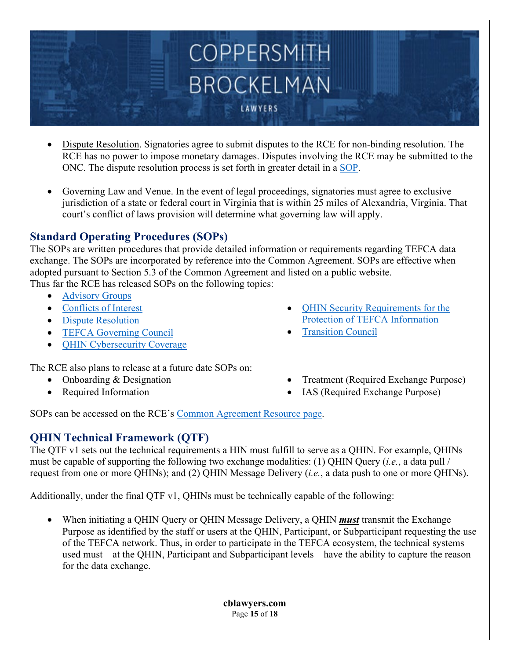- Dispute Resolution. Signatories agree to submit disputes to the RCE for non-binding resolution. The RCE has no power to impose monetary damages. Disputes involving the RCE may be submitted to the ONC. The dispute resolution process is set forth in greater detail in a [SOP.](#page-14-0)
- Governing Law and Venue. In the event of legal proceedings, signatories must agree to exclusive jurisdiction of a state or federal court in Virginia that is within 25 miles of Alexandria, Virginia. That court's conflict of laws provision will determine what governing law will apply.

### <span id="page-14-0"></span>**Standard Operating Procedures (SOPs)**

The SOPs are written procedures that provide detailed information or requirements regarding TEFCA data exchange. The SOPs are incorporated by reference into the Common Agreement. SOPs are effective when adopted pursuant to Section 5.3 of the Common Agreement and listed on a public website. Thus far the RCE has released SOPs on the following topics:

- [Advisory Groups](https://rce.sequoiaproject.org/wp-content/uploads/2022/01/SOP-Advisory-Groups-FINAL.pdf)
- [Conflicts of Interest](https://rce.sequoiaproject.org/wp-content/uploads/2022/01/SOP-Conflicts-of-Interest-FINAL.pdf)
- [Dispute Resolution](https://rce.sequoiaproject.org/wp-content/uploads/2022/01/SOP-Dispute-Resolution-Process-FINAL.pdf)
- [TEFCA Governing Council](https://rce.sequoiaproject.org/wp-content/uploads/2022/01/SOP-Governing-Council-FINAL.pdf)
- **[QHIN Cybersecurity Coverage](https://rce.sequoiaproject.org/wp-content/uploads/2022/01/SOP-QHIN-CyberSec-Coverage-FINAL.pdf)**
- **[QHIN Security Requirements for the](https://rce.sequoiaproject.org/wp-content/uploads/2022/01/SOP-QHIN-Security-of-TI-FINAL.pdf)** [Protection of TEFCA Information](https://rce.sequoiaproject.org/wp-content/uploads/2022/01/SOP-QHIN-Security-of-TI-FINAL.pdf)
- [Transition Council](https://rce.sequoiaproject.org/wp-content/uploads/2022/01/SOP-Transitional-Council-FINAL.pdf)

The RCE also plans to release at a future date SOPs on:

- Onboarding & Designation
- Required Information
- Treatment (Required Exchange Purpose)
- IAS (Required Exchange Purpose)

SOPs can be accessed on the RCE's [Common Agreement Resource page.](https://rce.sequoiaproject.org/tefca-and-rce-resources/)

### <span id="page-14-1"></span>**QHIN Technical Framework (QTF)**

The OTF v1 sets out the technical requirements a HIN must fulfill to serve as a OHIN. For example, OHINs must be capable of supporting the following two exchange modalities: (1) QHIN Query (*i.e.*, a data pull / request from one or more QHINs); and (2) QHIN Message Delivery (*i.e.*, a data push to one or more QHINs).

Additionally, under the final QTF v1, QHINs must be technically capable of the following:

• When initiating a QHIN Query or QHIN Message Delivery, a QHIN *must* transmit the Exchange Purpose as identified by the staff or users at the QHIN, Participant, or Subparticipant requesting the use of the TEFCA network. Thus, in order to participate in the TEFCA ecosystem, the technical systems used must—at the QHIN, Participant and Subparticipant levels—have the ability to capture the reason for the data exchange.

> **cblawyers.com** Page **15** of **18**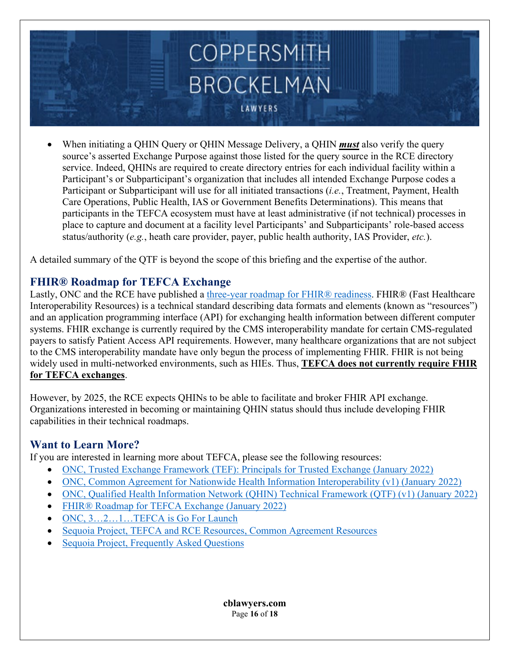

• When initiating a QHIN Query or QHIN Message Delivery, a QHIN *must* also verify the query source's asserted Exchange Purpose against those listed for the query source in the RCE directory service. Indeed, QHINs are required to create directory entries for each individual facility within a Participant's or Subparticipant's organization that includes all intended Exchange Purpose codes a Participant or Subparticipant will use for all initiated transactions (*i.e.*, Treatment, Payment, Health Care Operations, Public Health, IAS or Government Benefits Determinations). This means that participants in the TEFCA ecosystem must have at least administrative (if not technical) processes in place to capture and document at a facility level Participants' and Subparticipants' role-based access status/authority (*e.g.*, heath care provider, payer, public health authority, IAS Provider, *etc.*).

A detailed summary of the QTF is beyond the scope of this briefing and the expertise of the author.

### **FHIR® Roadmap for TEFCA Exchange**

Lastly, ONC and the RCE have published a [three-year roadmap for FHIR® readiness.](https://rce.sequoiaproject.org/wp-content/uploads/2022/01/FHIR-Roadmap-v1.0_updated.pdf) FHIR® (Fast Healthcare Interoperability Resources) is a technical standard describing data formats and elements (known as "resources") and an application programming interface (API) for exchanging health information between different computer systems. FHIR exchange is currently required by the CMS interoperability mandate for certain CMS-regulated payers to satisfy Patient Access API requirements. However, many healthcare organizations that are not subject to the CMS interoperability mandate have only begun the process of implementing FHIR. FHIR is not being widely used in multi-networked environments, such as HIEs. Thus, **TEFCA does not currently require FHIR for TEFCA exchanges**.

However, by 2025, the RCE expects QHINs to be able to facilitate and broker FHIR API exchange. Organizations interested in becoming or maintaining QHIN status should thus include developing FHIR capabilities in their technical roadmaps.

### **Want to Learn More?**

If you are interested in learning more about TEFCA, please see the following resources:

- [ONC, Trusted Exchange Framework \(TEF\): Principals for Trusted Exchange \(January 2022\)](https://www.healthit.gov/sites/default/files/page/2022-01/Trusted_Exchange_Framework_0122.pdf)
- [ONC, Common Agreement for Nationwide Health Information Interoperability \(v1\) \(January 2022\)](https://www.healthit.gov/sites/default/files/page/2022-01/Common_Agreement_for_Nationwide_Health_Information_Interoperability_Version_1.pdf)
- [ONC, Qualified Health Information Network \(QHIN\) Technical Framework \(QTF\) \(v1\) \(January 2022\)](https://rce.sequoiaproject.org/wp-content/uploads/2022/01/QTF_0122.pdf)
- [FHIR® Roadmap for TEFCA Exchange \(January 2022\)](https://rce.sequoiaproject.org/wp-content/uploads/2022/01/FHIR-Roadmap-v1.0_updated.pdf)
- ONC,  $3...2...1...$ TEFCA is Go For Launch
- [Sequoia Project, TEFCA and RCE Resources, Common Agreement Resources](https://rce.sequoiaproject.org/tefca-and-rce-resources/)
- [Sequoia Project, Frequently Asked Questions](https://rce.sequoiaproject.org/rce/faqs/)

**cblawyers.com** Page **16** of **18**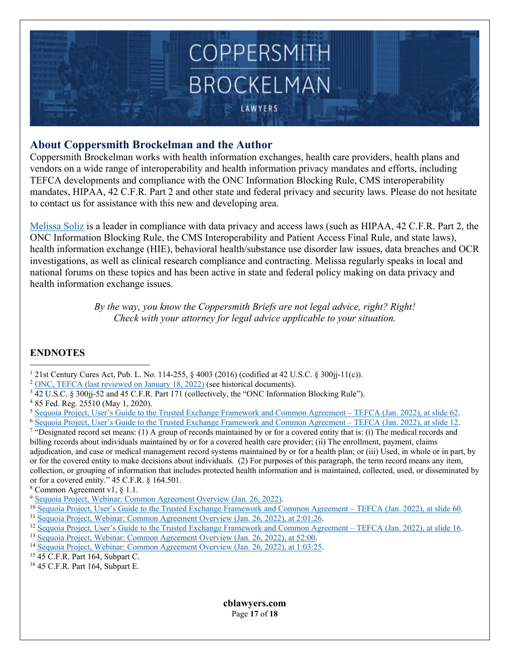

### **About Coppersmith Brockelman and the Author**

Coppersmith Brockelman works with health information exchanges, health care providers, health plans and vendors on a wide range of interoperability and health information privacy mandates and efforts, including TEFCA developments and compliance with the ONC Information Blocking Rule, CMS interoperability mandates, HIPAA, 42 C.F.R. Part 2 and other state and federal privacy and security laws. Please do not hesitate to contact us for assistance with this new and developing area.

[Melissa Soliz](https://www.cblawyers.com/melissa-soliz/) is a leader in compliance with data privacy and access laws (such as HIPAA, 42 C.F.R. Part 2, the ONC Information Blocking Rule, the CMS Interoperability and Patient Access Final Rule, and state laws), health information exchange (HIE), behavioral health/substance use disorder law issues, data breaches and OCR investigations, as well as clinical research compliance and contracting. Melissa regularly speaks in local and national forums on these topics and has been active in state and federal policy making on data privacy and health information exchange issues.

> *By the way, you know the Coppersmith Briefs are not legal advice, right? Right! Check with your attorney for legal advice applicable to your situation.*

### **ENDNOTES**

- <span id="page-16-0"></span><sup>1</sup> 21st Century Cures Act, Pub. L. No. 114-255, § 4003 (2016) (codified at 42 U.S.C. § 300jj-11(c)).
- <span id="page-16-1"></span><sup>2</sup> [ONC, TEFCA \(last reviewed on January 18, 2022\)](https://www.healthit.gov/topic/interoperability/trusted-exchange-framework-and-common-agreement-tefca) (see historical documents).
- <span id="page-16-2"></span><sup>3</sup> 42 U.S.C. § 300jj-52 and 45 C.F.R. Part 171 (collectively, the "ONC Information Blocking Rule"). 4 85 Fed. Reg. <sup>25510</sup> (May 1, 2020).
- <span id="page-16-3"></span>
- <span id="page-16-4"></span><sup>5</sup> [Sequoia Project, User's Guide to the Trusted Exchange Framework and Common Agreement –](https://rce.sequoiaproject.org/wp-content/uploads/2022/01/Common-Agreement-Users-Guide.pdf) TEFCA (Jan. 2022), at slide 62.<br><sup>6</sup> Sequoia Project, User's Guide to the Trusted Exchange Framework and Common Agreement – TEFCA (J
- <span id="page-16-5"></span>

<span id="page-16-6"></span><sup>7</sup> "Designated record set means: (1) A group of records maintained by or for a covered entity that is: (i) The medical records and billing records about individuals maintained by or for a covered health care provider; (ii) The enrollment, payment, claims adjudication, and case or medical management record systems maintained by or for a health plan; or (iii) Used, in whole or in part, by or for the covered entity to make decisions about individuals. (2) For purposes of this paragraph, the term record means any item, collection, or grouping of information that includes protected health information and is maintained, collected, used, or disseminated by or for a covered entity." 45 C.F.R. § 164.501.

- <span id="page-16-7"></span><sup>8</sup> Common Agreement v1, § 1.1.
- <span id="page-16-8"></span><sup>9</sup> [Sequoia Project, Webinar: Common Agreement Overview \(Jan. 26, 2022\).](https://register.gotowebinar.com/recording/3090248219272951307)
- <span id="page-16-9"></span><sup>10</sup> [Sequoia Project, User's Guide to the Trusted Exchange Framework and Common Agreement –](https://rce.sequoiaproject.org/wp-content/uploads/2022/01/Common-Agreement-Users-Guide.pdf) TEFCA (Jan. 2022), at slide 60.
- <span id="page-16-10"></span><sup>11</sup> [Sequoia Project, Webinar: Common Agreement Overview \(Jan. 26, 2022\), at 2:01:26.](https://register.gotowebinar.com/recording/3090248219272951307)
- <span id="page-16-11"></span><sup>12</sup> [Sequoia Project, User's Guide to the Trusted Exchange Framework and Common Agreement –](https://rce.sequoiaproject.org/wp-content/uploads/2022/01/Common-Agreement-Users-Guide.pdf) TEFCA (Jan. 2022), at slide 16.
- <span id="page-16-12"></span><sup>13</sup> [Sequoia Project, Webinar: Common Agreement Overview \(Jan. 26, 2022\), at 52:00.](https://register.gotowebinar.com/recording/3090248219272951307)
- <span id="page-16-13"></span><sup>14</sup> [Sequoia Project, Webinar: Common Agreement Overview \(Jan. 26, 2022\), at 1:03:25.](https://register.gotowebinar.com/recording/3090248219272951307)
- <span id="page-16-14"></span><sup>15</sup> 45 C.F.R. Part 164, Subpart C.
- <span id="page-16-15"></span><sup>16</sup> 45 C.F.R. Part 164, Subpart E.

**cblawyers.com** Page **17** of **18**